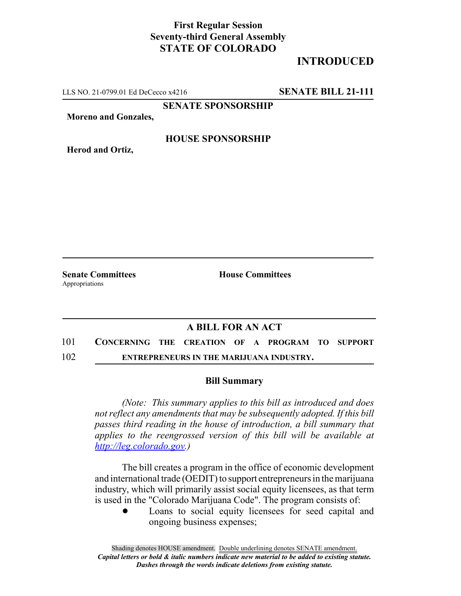## **First Regular Session Seventy-third General Assembly STATE OF COLORADO**

## **INTRODUCED**

LLS NO. 21-0799.01 Ed DeCecco x4216 **SENATE BILL 21-111**

**SENATE SPONSORSHIP**

**Moreno and Gonzales,**

**HOUSE SPONSORSHIP**

**Herod and Ortiz,**

Appropriations

**Senate Committees House Committees** 

## **A BILL FOR AN ACT**

101 **CONCERNING THE CREATION OF A PROGRAM TO SUPPORT**

102 **ENTREPRENEURS IN THE MARIJUANA INDUSTRY.**

## **Bill Summary**

*(Note: This summary applies to this bill as introduced and does not reflect any amendments that may be subsequently adopted. If this bill passes third reading in the house of introduction, a bill summary that applies to the reengrossed version of this bill will be available at http://leg.colorado.gov.)*

The bill creates a program in the office of economic development and international trade (OEDIT) to support entrepreneurs in the marijuana industry, which will primarily assist social equity licensees, as that term is used in the "Colorado Marijuana Code". The program consists of:

> Loans to social equity licensees for seed capital and ongoing business expenses;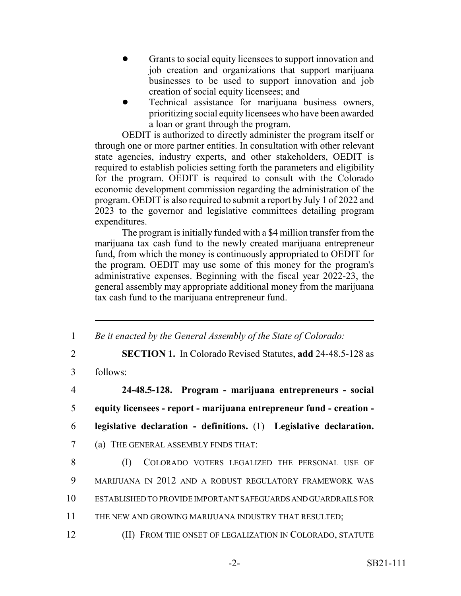- ! Grants to social equity licensees to support innovation and job creation and organizations that support marijuana businesses to be used to support innovation and job creation of social equity licensees; and
- Technical assistance for marijuana business owners, prioritizing social equity licensees who have been awarded a loan or grant through the program.

OEDIT is authorized to directly administer the program itself or through one or more partner entities. In consultation with other relevant state agencies, industry experts, and other stakeholders, OEDIT is required to establish policies setting forth the parameters and eligibility for the program. OEDIT is required to consult with the Colorado economic development commission regarding the administration of the program. OEDIT is also required to submit a report by July 1 of 2022 and 2023 to the governor and legislative committees detailing program expenditures.

The program is initially funded with a \$4 million transfer from the marijuana tax cash fund to the newly created marijuana entrepreneur fund, from which the money is continuously appropriated to OEDIT for the program. OEDIT may use some of this money for the program's administrative expenses. Beginning with the fiscal year 2022-23, the general assembly may appropriate additional money from the marijuana tax cash fund to the marijuana entrepreneur fund.

 *Be it enacted by the General Assembly of the State of Colorado:* **SECTION 1.** In Colorado Revised Statutes, **add** 24-48.5-128 as 3 follows: **24-48.5-128. Program - marijuana entrepreneurs - social equity licensees - report - marijuana entrepreneur fund - creation - legislative declaration - definitions.** (1) **Legislative declaration.** (a) THE GENERAL ASSEMBLY FINDS THAT: (I) COLORADO VOTERS LEGALIZED THE PERSONAL USE OF MARIJUANA IN 2012 AND A ROBUST REGULATORY FRAMEWORK WAS ESTABLISHED TO PROVIDE IMPORTANT SAFEGUARDS AND GUARDRAILS FOR THE NEW AND GROWING MARIJUANA INDUSTRY THAT RESULTED; (II) FROM THE ONSET OF LEGALIZATION IN COLORADO, STATUTE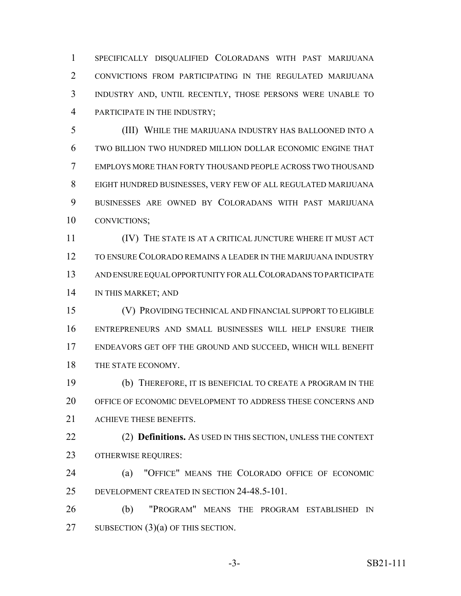SPECIFICALLY DISQUALIFIED COLORADANS WITH PAST MARIJUANA CONVICTIONS FROM PARTICIPATING IN THE REGULATED MARIJUANA INDUSTRY AND, UNTIL RECENTLY, THOSE PERSONS WERE UNABLE TO PARTICIPATE IN THE INDUSTRY;

 (III) WHILE THE MARIJUANA INDUSTRY HAS BALLOONED INTO A TWO BILLION TWO HUNDRED MILLION DOLLAR ECONOMIC ENGINE THAT EMPLOYS MORE THAN FORTY THOUSAND PEOPLE ACROSS TWO THOUSAND EIGHT HUNDRED BUSINESSES, VERY FEW OF ALL REGULATED MARIJUANA BUSINESSES ARE OWNED BY COLORADANS WITH PAST MARIJUANA CONVICTIONS;

 (IV) THE STATE IS AT A CRITICAL JUNCTURE WHERE IT MUST ACT TO ENSURE COLORADO REMAINS A LEADER IN THE MARIJUANA INDUSTRY AND ENSURE EQUAL OPPORTUNITY FOR ALL COLORADANS TO PARTICIPATE IN THIS MARKET; AND

 (V) PROVIDING TECHNICAL AND FINANCIAL SUPPORT TO ELIGIBLE ENTREPRENEURS AND SMALL BUSINESSES WILL HELP ENSURE THEIR ENDEAVORS GET OFF THE GROUND AND SUCCEED, WHICH WILL BENEFIT 18 THE STATE ECONOMY.

 (b) THEREFORE, IT IS BENEFICIAL TO CREATE A PROGRAM IN THE OFFICE OF ECONOMIC DEVELOPMENT TO ADDRESS THESE CONCERNS AND ACHIEVE THESE BENEFITS.

 (2) **Definitions.** AS USED IN THIS SECTION, UNLESS THE CONTEXT OTHERWISE REQUIRES:

 (a) "OFFICE" MEANS THE COLORADO OFFICE OF ECONOMIC DEVELOPMENT CREATED IN SECTION 24-48.5-101.

 (b) "PROGRAM" MEANS THE PROGRAM ESTABLISHED IN 27 SUBSECTION (3)(a) OF THIS SECTION.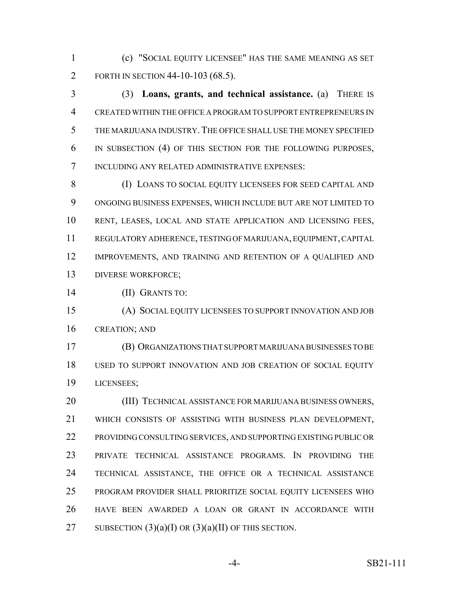(c) "SOCIAL EQUITY LICENSEE" HAS THE SAME MEANING AS SET 2 FORTH IN SECTION 44-10-103 (68.5).

 (3) **Loans, grants, and technical assistance.** (a) THERE IS CREATED WITHIN THE OFFICE A PROGRAM TO SUPPORT ENTREPRENEURS IN THE MARIJUANA INDUSTRY.THE OFFICE SHALL USE THE MONEY SPECIFIED IN SUBSECTION (4) OF THIS SECTION FOR THE FOLLOWING PURPOSES, INCLUDING ANY RELATED ADMINISTRATIVE EXPENSES:

 (I) LOANS TO SOCIAL EQUITY LICENSEES FOR SEED CAPITAL AND ONGOING BUSINESS EXPENSES, WHICH INCLUDE BUT ARE NOT LIMITED TO RENT, LEASES, LOCAL AND STATE APPLICATION AND LICENSING FEES, REGULATORY ADHERENCE, TESTING OF MARIJUANA, EQUIPMENT, CAPITAL 12 IMPROVEMENTS, AND TRAINING AND RETENTION OF A QUALIFIED AND DIVERSE WORKFORCE;

(II) GRANTS TO:

 (A) SOCIAL EQUITY LICENSEES TO SUPPORT INNOVATION AND JOB CREATION; AND

 (B) ORGANIZATIONS THAT SUPPORT MARIJUANA BUSINESSES TO BE USED TO SUPPORT INNOVATION AND JOB CREATION OF SOCIAL EQUITY LICENSEES;

 (III) TECHNICAL ASSISTANCE FOR MARIJUANA BUSINESS OWNERS, WHICH CONSISTS OF ASSISTING WITH BUSINESS PLAN DEVELOPMENT, PROVIDING CONSULTING SERVICES, AND SUPPORTING EXISTING PUBLIC OR PRIVATE TECHNICAL ASSISTANCE PROGRAMS. IN PROVIDING THE TECHNICAL ASSISTANCE, THE OFFICE OR A TECHNICAL ASSISTANCE PROGRAM PROVIDER SHALL PRIORITIZE SOCIAL EQUITY LICENSEES WHO HAVE BEEN AWARDED A LOAN OR GRANT IN ACCORDANCE WITH 27 SUBSECTION  $(3)(a)(I)$  OR  $(3)(a)(II)$  OF THIS SECTION.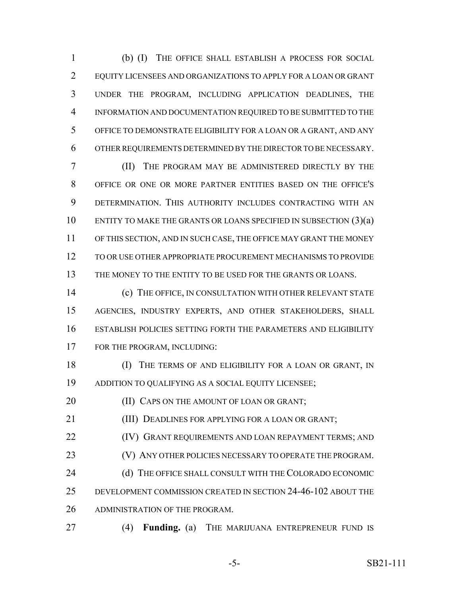(b) (I) THE OFFICE SHALL ESTABLISH A PROCESS FOR SOCIAL EQUITY LICENSEES AND ORGANIZATIONS TO APPLY FOR A LOAN OR GRANT UNDER THE PROGRAM, INCLUDING APPLICATION DEADLINES, THE INFORMATION AND DOCUMENTATION REQUIRED TO BE SUBMITTED TO THE OFFICE TO DEMONSTRATE ELIGIBILITY FOR A LOAN OR A GRANT, AND ANY OTHER REQUIREMENTS DETERMINED BY THE DIRECTOR TO BE NECESSARY.

 (II) THE PROGRAM MAY BE ADMINISTERED DIRECTLY BY THE OFFICE OR ONE OR MORE PARTNER ENTITIES BASED ON THE OFFICE'S DETERMINATION. THIS AUTHORITY INCLUDES CONTRACTING WITH AN ENTITY TO MAKE THE GRANTS OR LOANS SPECIFIED IN SUBSECTION (3)(a) OF THIS SECTION, AND IN SUCH CASE, THE OFFICE MAY GRANT THE MONEY TO OR USE OTHER APPROPRIATE PROCUREMENT MECHANISMS TO PROVIDE THE MONEY TO THE ENTITY TO BE USED FOR THE GRANTS OR LOANS.

 (c) THE OFFICE, IN CONSULTATION WITH OTHER RELEVANT STATE AGENCIES, INDUSTRY EXPERTS, AND OTHER STAKEHOLDERS, SHALL ESTABLISH POLICIES SETTING FORTH THE PARAMETERS AND ELIGIBILITY FOR THE PROGRAM, INCLUDING:

**(I)** THE TERMS OF AND ELIGIBILITY FOR A LOAN OR GRANT, IN ADDITION TO QUALIFYING AS A SOCIAL EQUITY LICENSEE;

**(II) CAPS ON THE AMOUNT OF LOAN OR GRANT;** 

(III) DEADLINES FOR APPLYING FOR A LOAN OR GRANT;

**(IV) GRANT REQUIREMENTS AND LOAN REPAYMENT TERMS; AND** 23 (V) ANY OTHER POLICIES NECESSARY TO OPERATE THE PROGRAM.

24 (d) THE OFFICE SHALL CONSULT WITH THE COLORADO ECONOMIC DEVELOPMENT COMMISSION CREATED IN SECTION 24-46-102 ABOUT THE ADMINISTRATION OF THE PROGRAM.

(4) **Funding.** (a) THE MARIJUANA ENTREPRENEUR FUND IS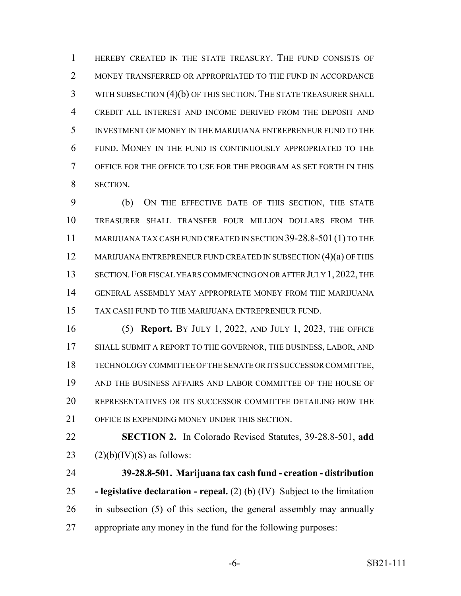HEREBY CREATED IN THE STATE TREASURY. THE FUND CONSISTS OF 2 MONEY TRANSFERRED OR APPROPRIATED TO THE FUND IN ACCORDANCE WITH SUBSECTION (4)(b) OF THIS SECTION. THE STATE TREASURER SHALL CREDIT ALL INTEREST AND INCOME DERIVED FROM THE DEPOSIT AND INVESTMENT OF MONEY IN THE MARIJUANA ENTREPRENEUR FUND TO THE FUND. MONEY IN THE FUND IS CONTINUOUSLY APPROPRIATED TO THE OFFICE FOR THE OFFICE TO USE FOR THE PROGRAM AS SET FORTH IN THIS SECTION.

 (b) ON THE EFFECTIVE DATE OF THIS SECTION, THE STATE TREASURER SHALL TRANSFER FOUR MILLION DOLLARS FROM THE 11 MARIJUANA TAX CASH FUND CREATED IN SECTION 39-28.8-501 (1) TO THE 12 MARIJUANA ENTREPRENEUR FUND CREATED IN SUBSECTION (4)(a) OF THIS 13 SECTION. FOR FISCAL YEARS COMMENCING ON OR AFTER JULY 1, 2022, THE GENERAL ASSEMBLY MAY APPROPRIATE MONEY FROM THE MARIJUANA TAX CASH FUND TO THE MARIJUANA ENTREPRENEUR FUND.

 (5) **Report.** BY JULY 1, 2022, AND JULY 1, 2023, THE OFFICE 17 SHALL SUBMIT A REPORT TO THE GOVERNOR, THE BUSINESS, LABOR, AND TECHNOLOGY COMMITTEE OF THE SENATE OR ITS SUCCESSOR COMMITTEE, AND THE BUSINESS AFFAIRS AND LABOR COMMITTEE OF THE HOUSE OF REPRESENTATIVES OR ITS SUCCESSOR COMMITTEE DETAILING HOW THE OFFICE IS EXPENDING MONEY UNDER THIS SECTION.

 **SECTION 2.** In Colorado Revised Statutes, 39-28.8-501, **add** 23  $(2)(b)(IV)(S)$  as follows:

 **39-28.8-501. Marijuana tax cash fund - creation - distribution - legislative declaration - repeal.** (2) (b) (IV) Subject to the limitation in subsection (5) of this section, the general assembly may annually appropriate any money in the fund for the following purposes:

-6- SB21-111